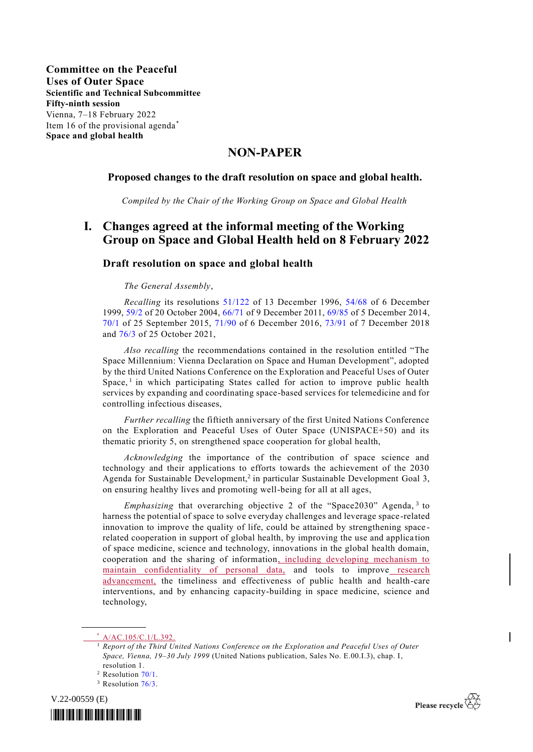### **NON-PAPER**

### **Proposed changes to the draft resolution on space and global health.**

*Compiled by the Chair of the Working Group on Space and Global Health*

## **I. Changes agreed at the informal meeting of the Working Group on Space and Global Health held on 8 February 2022**

#### **Draft resolution on space and global health**

#### *The General Assembly*,

*Recalling* its resolutions [51/122](https://undocs.org/en/A/RES/51/122) of 13 December 1996, [54/68](https://undocs.org/en/A/RES/54/68) of 6 December 1999, [59/2](https://undocs.org/en/A/RES/59/2) of 20 October 2004, [66/71](https://undocs.org/en/A/RES/66/71) of 9 December 2011, [69/85](https://undocs.org/en/A/RES/69/85) of 5 December 2014, [70/1](https://undocs.org/en/A/RES/70/1) of 25 September 2015, [71/90](https://undocs.org/en/A/RES/71/90) of 6 December 2016, [73/91](https://undocs.org/en/A/RES/73/91) of 7 December 2018 and [76/3](http://undocs.org/A/RES/76/3) of 25 October 2021,

*Also recalling* the recommendations contained in the resolution entitled "The Space Millennium: Vienna Declaration on Space and Human Development", adopted by the third United Nations Conference on the Exploration and Peaceful Uses of Outer Space,<sup>1</sup> in which participating States called for action to improve public health services by expanding and coordinating space-based services for telemedicine and for controlling infectious diseases,

*Further recalling* the fiftieth anniversary of the first United Nations Conference on the Exploration and Peaceful Uses of Outer Space (UNISPACE+50) and its thematic priority 5, on strengthened space cooperation for global health,

*Acknowledging* the importance of the contribution of space science and technology and their applications to efforts towards the achievement of the 2030 Agenda for Sustainable Development,<sup>2</sup> in particular Sustainable Development Goal 3, on ensuring healthy lives and promoting well-being for all at all ages,

*Emphasizing* that overarching objective 2 of the "Space2030" Agenda, <sup>3</sup> to harness the potential of space to solve everyday challenges and leverage space-related innovation to improve the quality of life, could be attained by strengthening space related cooperation in support of global health, by improving the use and applica tion of space medicine, science and technology, innovations in the global health domain, cooperation and the sharing of information, including developing mechanism to maintain confidentiality of personal data, and tools to improve research advancement, the timeliness and effectiveness of public health and health-care interventions, and by enhancing capacity-building in space medicine, science and technology,

**\_\_\_\_\_\_\_\_\_\_\_\_\_\_\_\_\_\_**

<sup>&</sup>lt;sup>3</sup> Resolution [76/3.](http://undocs.org/A/RES/76/3)







<sup>\*</sup> [A/AC.105/C.1/L.392.](http://undocs.org/A/AC.105/C.1/L.392)

<sup>1</sup> *Report of the Third United Nations Conference on the Exploration and Peaceful Uses of Outer Space, Vienna, 19–30 July 1999* (United Nations publication, Sales No. E.00.I.3), chap. I, resolution 1.

<sup>&</sup>lt;sup>2</sup> Resolution [70/1.](http://undocs.org/A/RES/70/1)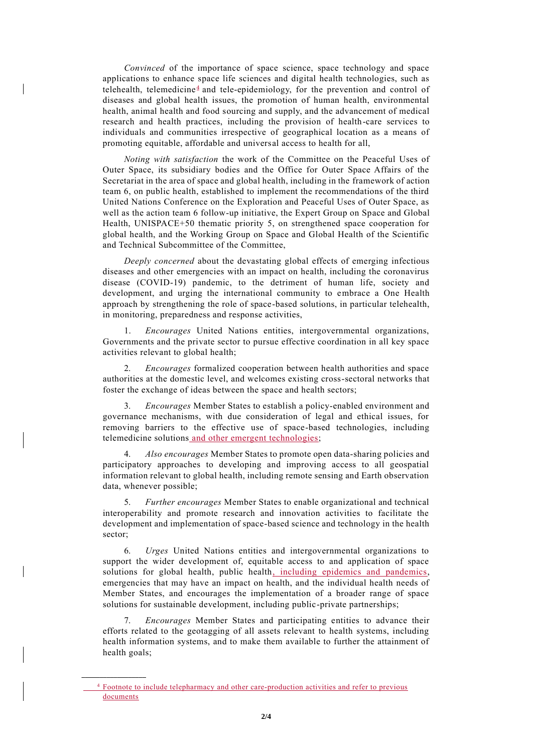*Convinced* of the importance of space science, space technology and space applications to enhance space life sciences and digital health technologies, such as telehealth, telemedicine<sup>4</sup> and tele-epidemiology, for the prevention and control of diseases and global health issues, the promotion of human health, environmental health, animal health and food sourcing and supply, and the advancement of medical research and health practices, including the provision of health-care services to individuals and communities irrespective of geographical location as a means of promoting equitable, affordable and universal access to health for all,

*Noting with satisfaction* the work of the Committee on the Peaceful Uses of Outer Space, its subsidiary bodies and the Office for Outer Space Affairs of the Secretariat in the area of space and global health, including in the framework of action team 6, on public health, established to implement the recommendations of the third United Nations Conference on the Exploration and Peaceful Uses of Outer Space, as well as the action team 6 follow-up initiative, the Expert Group on Space and Global Health, UNISPACE+50 thematic priority 5, on strengthened space cooperation for global health, and the Working Group on Space and Global Health of the Scientific and Technical Subcommittee of the Committee,

*Deeply concerned* about the devastating global effects of emerging infectious diseases and other emergencies with an impact on health, including the coronavirus disease (COVID-19) pandemic, to the detriment of human life, society and development, and urging the international community to embrace a One Health approach by strengthening the role of space-based solutions, in particular telehealth, in monitoring, preparedness and response activities,

1. *Encourages* United Nations entities, intergovernmental organizations, Governments and the private sector to pursue effective coordination in all key space activities relevant to global health;

2. *Encourages* formalized cooperation between health authorities and space authorities at the domestic level, and welcomes existing cross-sectoral networks that foster the exchange of ideas between the space and health sectors;

3. *Encourages* Member States to establish a policy-enabled environment and governance mechanisms, with due consideration of legal and ethical issues, for removing barriers to the effective use of space-based technologies, including telemedicine solutions and other emergent technologies;

4. *Also encourages* Member States to promote open data-sharing policies and participatory approaches to developing and improving access to all geospatial information relevant to global health, including remote sensing and Earth observation data, whenever possible;

5. *Further encourages* Member States to enable organizational and technical interoperability and promote research and innovation activities to facilitate the development and implementation of space-based science and technology in the health sector;

6. *Urges* United Nations entities and intergovernmental organizations to support the wider development of, equitable access to and application of space solutions for global health, public health, including epidemics and pandemics, emergencies that may have an impact on health, and the individual health needs of Member States, and encourages the implementation of a broader range of space solutions for sustainable development, including public-private partnerships;

7. *Encourages* Member States and participating entities to advance their efforts related to the geotagging of all assets relevant to health systems, including health information systems, and to make them available to further the attainment of health goals;

**\_\_\_\_\_\_\_\_\_\_\_\_\_\_\_\_\_\_**

<sup>&</sup>lt;sup>4</sup> Footnote to include telepharmacy and other care-production activities and refer to previous documents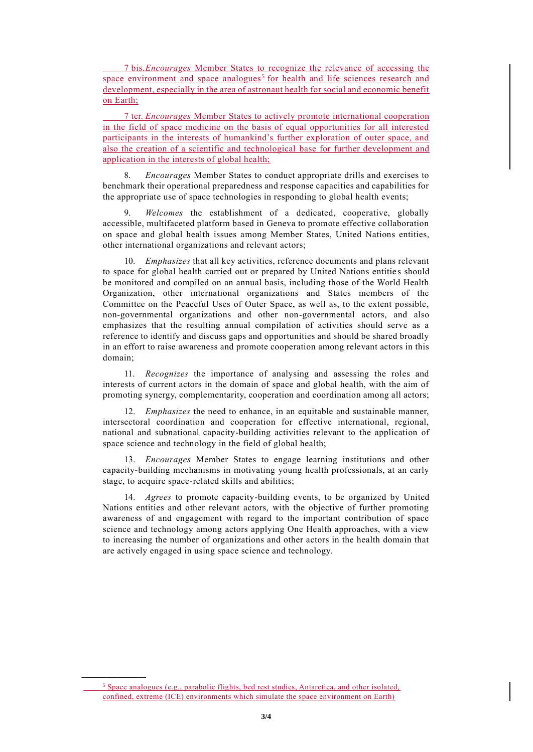7 bis.*Encourages* Member States to recognize the relevance of accessing the space environment and space analogues<sup>5</sup> for health and life sciences research and development, especially in the area of astronaut health for social and economic benefit on Earth;

7 ter. *Encourages* Member States to actively promote international cooperation in the field of space medicine on the basis of equal opportunities for all interested participants in the interests of humankind's further exploration of outer space, and also the creation of a scientific and technological base for further development and application in the interests of global health;

8. *Encourages* Member States to conduct appropriate drills and exercises to benchmark their operational preparedness and response capacities and capabilities for the appropriate use of space technologies in responding to global health events;

9. *Welcomes* the establishment of a dedicated, cooperative, globally accessible, multifaceted platform based in Geneva to promote effective collaboration on space and global health issues among Member States, United Nations entities, other international organizations and relevant actors;

10. *Emphasizes* that all key activities, reference documents and plans relevant to space for global health carried out or prepared by United Nations entities should be monitored and compiled on an annual basis, including those of the World Health Organization, other international organizations and States members of the Committee on the Peaceful Uses of Outer Space, as well as, to the extent possible, non-governmental organizations and other non-governmental actors, and also emphasizes that the resulting annual compilation of activities should serve as a reference to identify and discuss gaps and opportunities and should be shared broadly in an effort to raise awareness and promote cooperation among relevant actors in this domain;

11. *Recognizes* the importance of analysing and assessing the roles and interests of current actors in the domain of space and global health, with the aim of promoting synergy, complementarity, cooperation and coordination among all actors;

12. *Emphasizes* the need to enhance, in an equitable and sustainable manner, intersectoral coordination and cooperation for effective international, regional, national and subnational capacity-building activities relevant to the application of space science and technology in the field of global health;

13. *Encourages* Member States to engage learning institutions and other capacity-building mechanisms in motivating young health professionals, at an early stage, to acquire space-related skills and abilities;

14. *Agrees* to promote capacity-building events, to be organized by United Nations entities and other relevant actors, with the objective of further promoting awareness of and engagement with regard to the important contribution of space science and technology among actors applying One Health approaches, with a view to increasing the number of organizations and other actors in the health domain that are actively engaged in using space science and technology.

**\_\_\_\_\_\_\_\_\_\_\_\_\_\_\_\_\_\_**

 $<sup>5</sup>$  Space analogues (e.g., parabolic flights, bed rest studies, Antarctica, and other isolated,</sup> confined, extreme (ICE) environments which simulate the space environment on Earth)